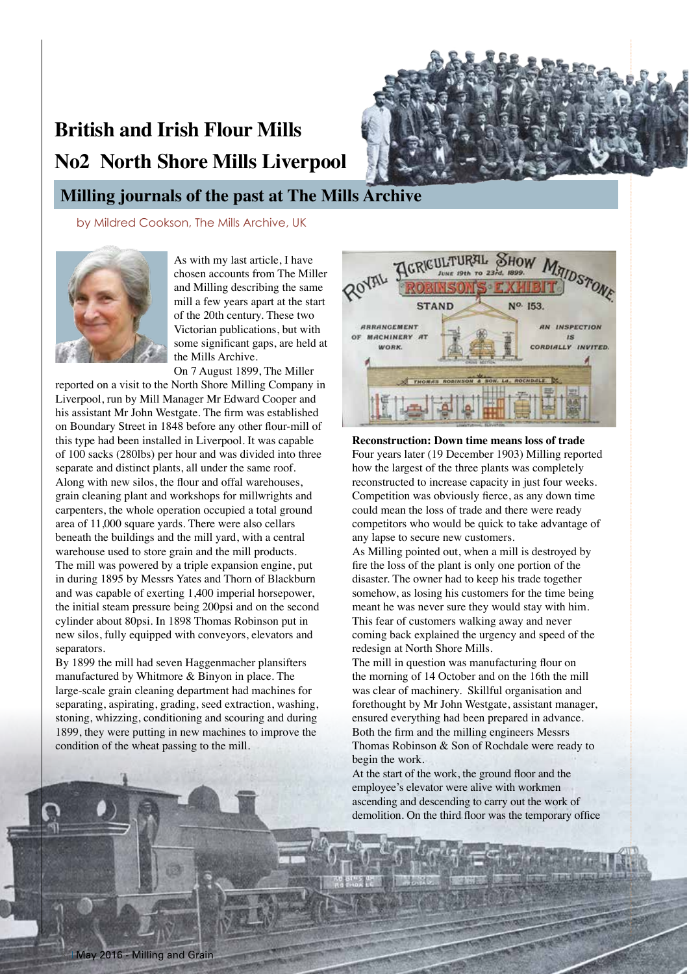# **British and Irish Flour Mills No2 North Shore Mills Liverpool**



## **Milling journals of the past at The Mills Archive**

by Mildred Cookson, The Mills Archive, UK



As with my last article, I have chosen accounts from The Miller and Milling describing the same mill a few years apart at the start of the 20th century. These two Victorian publications, but with some significant gaps, are held at the Mills Archive.

On 7 August 1899, The Miller reported on a visit to the North Shore Milling Company in Liverpool, run by Mill Manager Mr Edward Cooper and his assistant Mr John Westgate. The firm was established on Boundary Street in 1848 before any other flour-mill of this type had been installed in Liverpool. It was capable of 100 sacks (280lbs) per hour and was divided into three separate and distinct plants, all under the same roof. Along with new silos, the flour and offal warehouses, grain cleaning plant and workshops for millwrights and carpenters, the whole operation occupied a total ground area of 11,000 square yards. There were also cellars beneath the buildings and the mill yard, with a central warehouse used to store grain and the mill products. The mill was powered by a triple expansion engine, put in during 1895 by Messrs Yates and Thorn of Blackburn and was capable of exerting 1,400 imperial horsepower, the initial steam pressure being 200psi and on the second cylinder about 80psi. In 1898 Thomas Robinson put in new silos, fully equipped with conveyors, elevators and separators.

By 1899 the mill had seven Haggenmacher plansifters manufactured by Whitmore & Binyon in place. The large-scale grain cleaning department had machines for separating, aspirating, grading, seed extraction, washing, stoning, whizzing, conditioning and scouring and during 1899, they were putting in new machines to improve the condition of the wheat passing to the mill.



**Reconstruction: Down time means loss of trade** Four years later (19 December 1903) Milling reported how the largest of the three plants was completely reconstructed to increase capacity in just four weeks. Competition was obviously fierce, as any down time could mean the loss of trade and there were ready competitors who would be quick to take advantage of any lapse to secure new customers.

As Milling pointed out, when a mill is destroyed by fire the loss of the plant is only one portion of the disaster. The owner had to keep his trade together somehow, as losing his customers for the time being meant he was never sure they would stay with him. This fear of customers walking away and never coming back explained the urgency and speed of the redesign at North Shore Mills.

The mill in question was manufacturing flour on the morning of 14 October and on the 16th the mill was clear of machinery. Skillful organisation and forethought by Mr John Westgate, assistant manager, ensured everything had been prepared in advance. Both the firm and the milling engineers Messrs Thomas Robinson & Son of Rochdale were ready to begin the work.

At the start of the work, the ground floor and the employee's elevator were alive with workmen ascending and descending to carry out the work of demolition. On the third floor was the temporary office